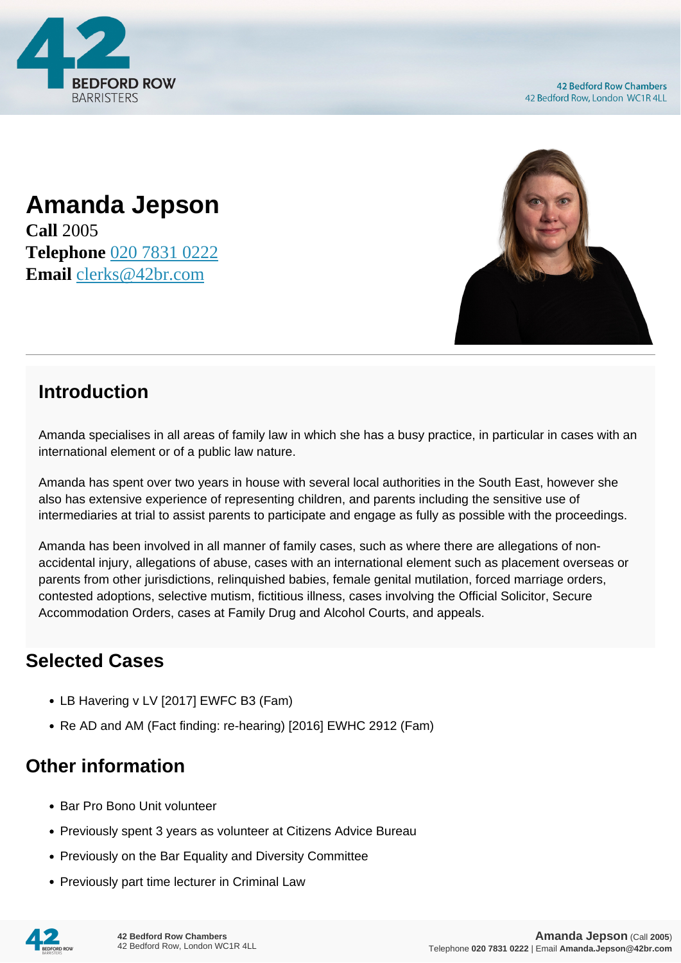

## **Amanda Jepson**

**Call** 2005 **Telephone** [020 7831 0222](https://pdf.codeshore.co/_42br/tel:020 7831 0222) **Email** [clerks@42br.com](mailto:clerks@42br.com)



## **Introduction**

Amanda specialises in all areas of family law in which she has a busy practice, in particular in cases with an international element or of a public law nature.

Amanda has spent over two years in house with several local authorities in the South East, however she also has extensive experience of representing children, and parents including the sensitive use of intermediaries at trial to assist parents to participate and engage as fully as possible with the proceedings.

Amanda has been involved in all manner of family cases, such as where there are allegations of nonaccidental injury, allegations of abuse, cases with an international element such as placement overseas or parents from other jurisdictions, relinquished babies, female genital mutilation, forced marriage orders, contested adoptions, selective mutism, fictitious illness, cases involving the Official Solicitor, Secure Accommodation Orders, cases at Family Drug and Alcohol Courts, and appeals.

## **Selected Cases**

- LB Havering v LV [2017] EWFC B3 (Fam)
- Re AD and AM (Fact finding: re-hearing) [2016] EWHC 2912 (Fam)

## **Other information**

- Bar Pro Bono Unit volunteer
- Previously spent 3 years as volunteer at Citizens Advice Bureau
- Previously on the Bar Equality and Diversity Committee
- Previously part time lecturer in Criminal Law